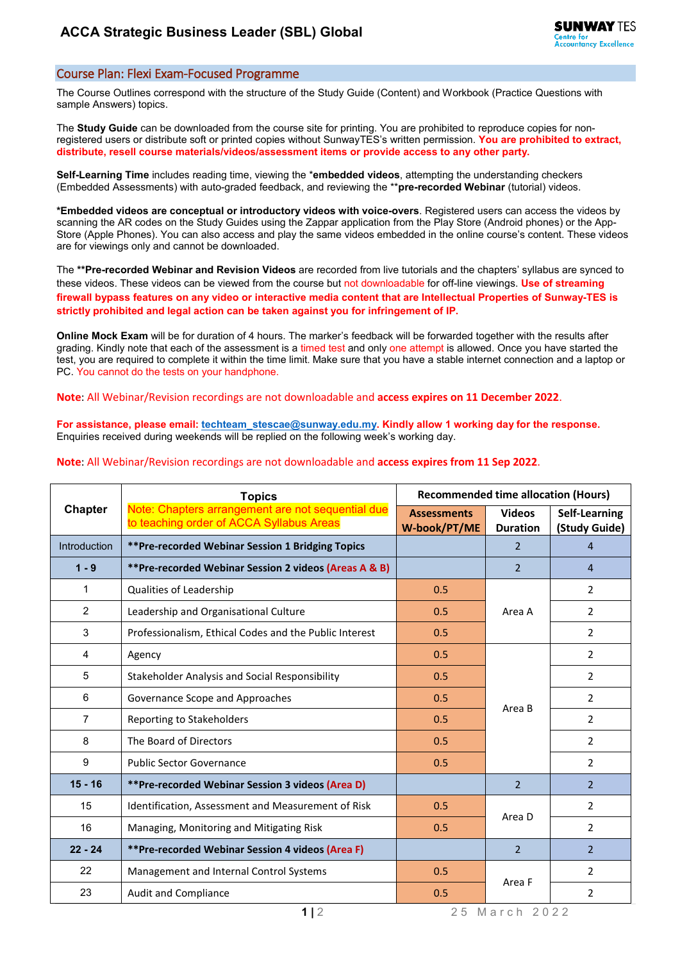## Course Plan: Flexi Exam-Focused Programme

The Course Outlines correspond with the structure of the Study Guide (Content) and Workbook (Practice Questions with sample Answers) topics.

The **Study Guide** can be downloaded from the course site for printing. You are prohibited to reproduce copies for nonregistered users or distribute soft or printed copies without SunwayTES's written permission. **You are prohibited to extract, distribute, resell course materials/videos/assessment items or provide access to any other party.**

**Self-Learning Time** includes reading time, viewing the \***embedded videos**, attempting the understanding checkers (Embedded Assessments) with auto-graded feedback, and reviewing the \*\***pre-recorded Webinar** (tutorial) videos.

**\*Embedded videos are conceptual or introductory videos with voice-overs**. Registered users can access the videos by scanning the AR codes on the Study Guides using the Zappar application from the Play Store (Android phones) or the App-Store (Apple Phones). You can also access and play the same videos embedded in the online course's content. These videos are for viewings only and cannot be downloaded.

The **\*\*Pre-recorded Webinar and Revision Videos** are recorded from live tutorials and the chapters' syllabus are synced to these videos. These videos can be viewed from the course but not downloadable for off-line viewings. **Use of streaming firewall bypass features on any video or interactive media content that are Intellectual Properties of Sunway-TES is strictly prohibited and legal action can be taken against you for infringement of IP.**

**Online Mock Exam** will be for duration of 4 hours. The marker's feedback will be forwarded together with the results after grading. Kindly note that each of the assessment is a timed test and only one attempt is allowed. Once you have started the test, you are required to complete it within the time limit. Make sure that you have a stable internet connection and a laptop or PC. You cannot do the tests on your handphone.

**Note**: All Webinar/Revision recordings are not downloadable and **access expires on 11 December 2022**.

**For assistance, please email[: techteam\\_stescae@sunway.edu.my.](mailto:techteam_stescae@sunway.edu.my) Kindly allow 1 working day for the response.**  Enquiries received during weekends will be replied on the following week's working day.

## **Note**: All Webinar/Revision recordings are not downloadable and **access expires from 11 Sep 2022**.

| <b>Chapter</b>      | <b>Topics</b>                                                                                 | <b>Recommended time allocation (Hours)</b> |                                  |                                |
|---------------------|-----------------------------------------------------------------------------------------------|--------------------------------------------|----------------------------------|--------------------------------|
|                     | Note: Chapters arrangement are not sequential due<br>to teaching order of ACCA Syllabus Areas | <b>Assessments</b><br>W-book/PT/ME         | <b>Videos</b><br><b>Duration</b> | Self-Learning<br>(Study Guide) |
| <b>Introduction</b> | **Pre-recorded Webinar Session 1 Bridging Topics                                              |                                            | $\mathcal{P}$                    | 4                              |
| $1 - 9$             | **Pre-recorded Webinar Session 2 videos (Areas A & B)                                         |                                            | $\mathcal{P}$                    | $\overline{4}$                 |
| $\mathbf{1}$        | Qualities of Leadership                                                                       | 0.5                                        | Area A                           | $\overline{2}$                 |
| $\overline{2}$      | Leadership and Organisational Culture                                                         | 0.5                                        |                                  | $\overline{2}$                 |
| 3                   | Professionalism, Ethical Codes and the Public Interest                                        | 0.5                                        |                                  | $\overline{2}$                 |
| 4                   | Agency                                                                                        | 0.5                                        | Area B                           | $\overline{2}$                 |
| 5                   | Stakeholder Analysis and Social Responsibility                                                | 0.5                                        |                                  | $\overline{2}$                 |
| 6                   | Governance Scope and Approaches                                                               | 0.5                                        |                                  | $\overline{2}$                 |
| $\overline{7}$      | Reporting to Stakeholders                                                                     | 0.5                                        |                                  | $\overline{2}$                 |
| 8                   | The Board of Directors                                                                        | 0.5                                        |                                  | $\overline{2}$                 |
| 9                   | <b>Public Sector Governance</b>                                                               | 0.5                                        |                                  | $\overline{2}$                 |
| $15 - 16$           | **Pre-recorded Webinar Session 3 videos (Area D)                                              |                                            | $\overline{2}$                   | $\overline{2}$                 |
| 15                  | Identification, Assessment and Measurement of Risk                                            | 0.5                                        | Area D                           | $\overline{2}$                 |
| 16                  | Managing, Monitoring and Mitigating Risk                                                      | 0.5                                        |                                  | $\overline{2}$                 |
| $22 - 24$           | **Pre-recorded Webinar Session 4 videos (Area F)                                              |                                            | $\overline{2}$                   | $\mathcal{P}$                  |
| 22                  | Management and Internal Control Systems                                                       | 0.5                                        | Area F                           | $\overline{2}$                 |
| 23                  | <b>Audit and Compliance</b>                                                                   | 0.5                                        |                                  | $\overline{2}$                 |